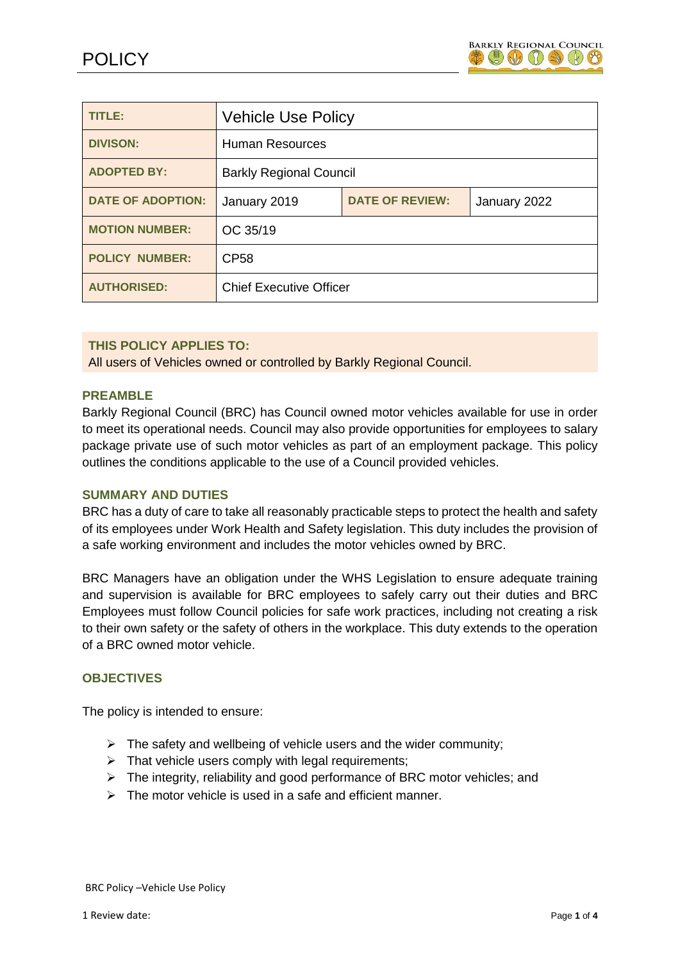

| <b>TITLE:</b>            | <b>Vehicle Use Policy</b>      |                        |              |
|--------------------------|--------------------------------|------------------------|--------------|
| <b>DIVISON:</b>          | <b>Human Resources</b>         |                        |              |
| <b>ADOPTED BY:</b>       | <b>Barkly Regional Council</b> |                        |              |
| <b>DATE OF ADOPTION:</b> | January 2019                   | <b>DATE OF REVIEW:</b> | January 2022 |
| <b>MOTION NUMBER:</b>    | OC 35/19                       |                        |              |
| <b>POLICY NUMBER:</b>    | <b>CP58</b>                    |                        |              |
| <b>AUTHORISED:</b>       | <b>Chief Executive Officer</b> |                        |              |

### **THIS POLICY APPLIES TO:**

All users of Vehicles owned or controlled by Barkly Regional Council.

### **PREAMBLE**

Barkly Regional Council (BRC) has Council owned motor vehicles available for use in order to meet its operational needs. Council may also provide opportunities for employees to salary package private use of such motor vehicles as part of an employment package. This policy outlines the conditions applicable to the use of a Council provided vehicles.

### **SUMMARY AND DUTIES**

BRC has a duty of care to take all reasonably practicable steps to protect the health and safety of its employees under Work Health and Safety legislation. This duty includes the provision of a safe working environment and includes the motor vehicles owned by BRC.

BRC Managers have an obligation under the WHS Legislation to ensure adequate training and supervision is available for BRC employees to safely carry out their duties and BRC Employees must follow Council policies for safe work practices, including not creating a risk to their own safety or the safety of others in the workplace. This duty extends to the operation of a BRC owned motor vehicle.

#### **OBJECTIVES**

The policy is intended to ensure:

- $\triangleright$  The safety and wellbeing of vehicle users and the wider community;
- $\triangleright$  That vehicle users comply with legal requirements;
- $\triangleright$  The integrity, reliability and good performance of BRC motor vehicles; and
- $\triangleright$  The motor vehicle is used in a safe and efficient manner.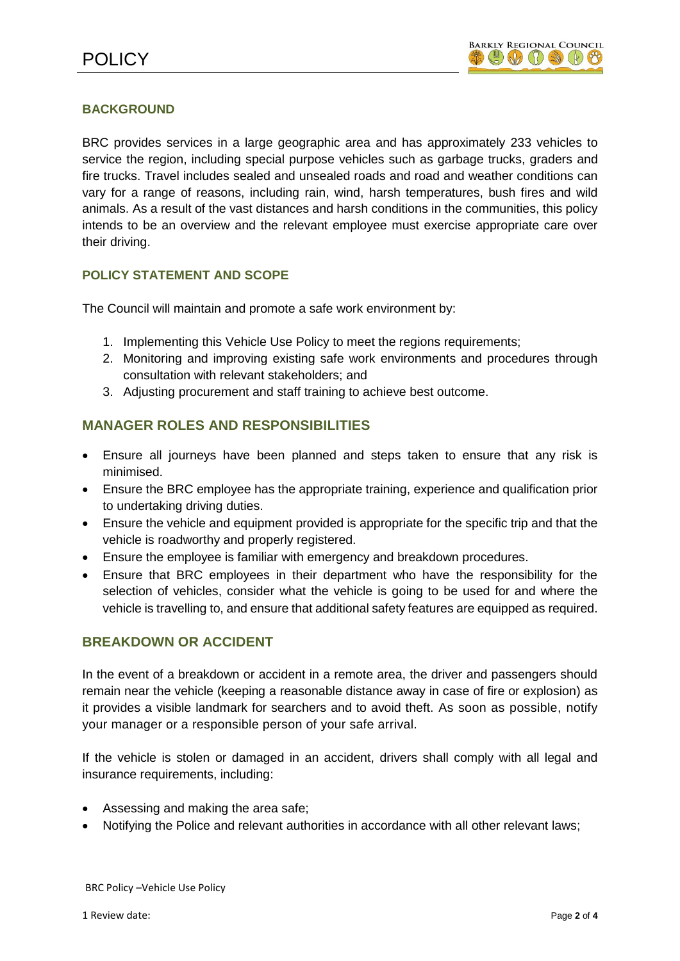# **BACKGROUND**

BRC provides services in a large geographic area and has approximately 233 vehicles to service the region, including special purpose vehicles such as garbage trucks, graders and fire trucks. Travel includes sealed and unsealed roads and road and weather conditions can vary for a range of reasons, including rain, wind, harsh temperatures, bush fires and wild animals. As a result of the vast distances and harsh conditions in the communities, this policy intends to be an overview and the relevant employee must exercise appropriate care over their driving.

# **POLICY STATEMENT AND SCOPE**

The Council will maintain and promote a safe work environment by:

- 1. Implementing this Vehicle Use Policy to meet the regions requirements;
- 2. Monitoring and improving existing safe work environments and procedures through consultation with relevant stakeholders; and
- 3. Adjusting procurement and staff training to achieve best outcome.

# **MANAGER ROLES AND RESPONSIBILITIES**

- Ensure all journeys have been planned and steps taken to ensure that any risk is minimised.
- Ensure the BRC employee has the appropriate training, experience and qualification prior to undertaking driving duties.
- Ensure the vehicle and equipment provided is appropriate for the specific trip and that the vehicle is roadworthy and properly registered.
- Ensure the employee is familiar with emergency and breakdown procedures.
- Ensure that BRC employees in their department who have the responsibility for the selection of vehicles, consider what the vehicle is going to be used for and where the vehicle is travelling to, and ensure that additional safety features are equipped as required.

### **BREAKDOWN OR ACCIDENT**

In the event of a breakdown or accident in a remote area, the driver and passengers should remain near the vehicle (keeping a reasonable distance away in case of fire or explosion) as it provides a visible landmark for searchers and to avoid theft. As soon as possible, notify your manager or a responsible person of your safe arrival.

If the vehicle is stolen or damaged in an accident, drivers shall comply with all legal and insurance requirements, including:

- Assessing and making the area safe;
- Notifying the Police and relevant authorities in accordance with all other relevant laws;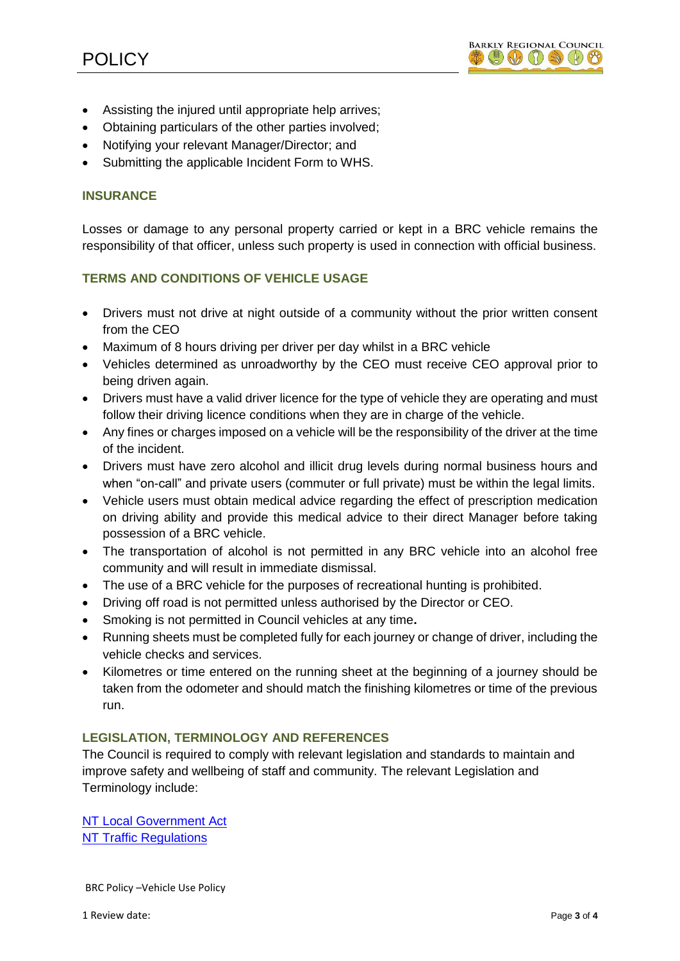- Assisting the injured until appropriate help arrives;
- Obtaining particulars of the other parties involved;
- Notifying your relevant Manager/Director; and
- Submitting the applicable Incident Form to WHS.

# **INSURANCE**

Losses or damage to any personal property carried or kept in a BRC vehicle remains the responsibility of that officer, unless such property is used in connection with official business.

# **TERMS AND CONDITIONS OF VEHICLE USAGE**

- Drivers must not drive at night outside of a community without the prior written consent from the CEO
- Maximum of 8 hours driving per driver per day whilst in a BRC vehicle
- Vehicles determined as unroadworthy by the CEO must receive CEO approval prior to being driven again.
- Drivers must have a valid driver licence for the type of vehicle they are operating and must follow their driving licence conditions when they are in charge of the vehicle.
- Any fines or charges imposed on a vehicle will be the responsibility of the driver at the time of the incident.
- Drivers must have zero alcohol and illicit drug levels during normal business hours and when "on-call" and private users (commuter or full private) must be within the legal limits.
- Vehicle users must obtain medical advice regarding the effect of prescription medication on driving ability and provide this medical advice to their direct Manager before taking possession of a BRC vehicle.
- The transportation of alcohol is not permitted in any BRC vehicle into an alcohol free community and will result in immediate dismissal.
- The use of a BRC vehicle for the purposes of recreational hunting is prohibited.
- Driving off road is not permitted unless authorised by the Director or CEO.
- Smoking is not permitted in Council vehicles at any time**.**
- Running sheets must be completed fully for each journey or change of driver, including the vehicle checks and services.
- Kilometres or time entered on the running sheet at the beginning of a journey should be taken from the odometer and should match the finishing kilometres or time of the previous run.

### **LEGISLATION, TERMINOLOGY AND REFERENCES**

The Council is required to comply with relevant legislation and standards to maintain and improve safety and wellbeing of staff and community. The relevant Legislation and Terminology include:

[NT Local Government Act](http://www.austlii.edu.au/cgi-bin/viewdb/au/legis/nt/consol_act/lga182/) [NT Traffic Regulations](http://www8.austlii.edu.au/cgi-bin/viewdb/au/legis/nt/consol_reg/tr186/)

BRC Policy –Vehicle Use Policy